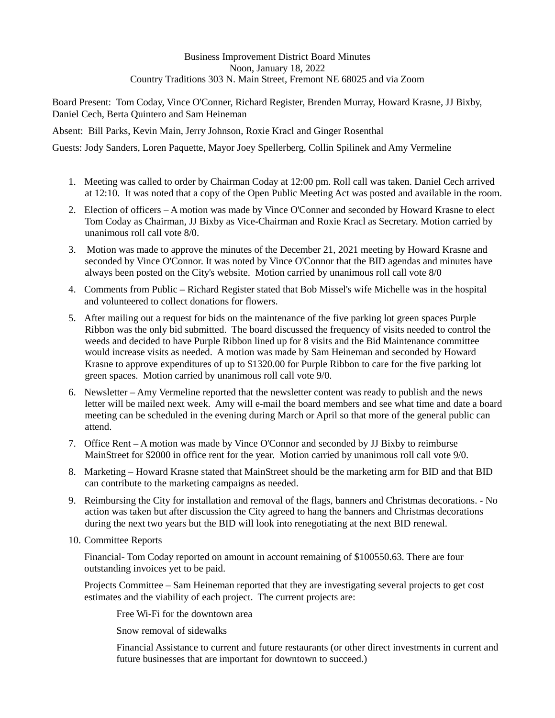## Business Improvement District Board Minutes Noon, January 18, 2022 Country Traditions 303 N. Main Street, Fremont NE 68025 and via Zoom

Board Present: Tom Coday, Vince O'Conner, Richard Register, Brenden Murray, Howard Krasne, JJ Bixby, Daniel Cech, Berta Quintero and Sam Heineman

Absent: Bill Parks, Kevin Main, Jerry Johnson, Roxie Kracl and Ginger Rosenthal

Guests: Jody Sanders, Loren Paquette, Mayor Joey Spellerberg, Collin Spilinek and Amy Vermeline

- 1. Meeting was called to order by Chairman Coday at 12:00 pm. Roll call was taken. Daniel Cech arrived at 12:10. It was noted that a copy of the Open Public Meeting Act was posted and available in the room.
- 2. Election of officers A motion was made by Vince O'Conner and seconded by Howard Krasne to elect Tom Coday as Chairman, JJ Bixby as Vice-Chairman and Roxie Kracl as Secretary. Motion carried by unanimous roll call vote 8/0.
- 3. Motion was made to approve the minutes of the December 21, 2021 meeting by Howard Krasne and seconded by Vince O'Connor. It was noted by Vince O'Connor that the BID agendas and minutes have always been posted on the City's website. Motion carried by unanimous roll call vote 8/0
- 4. Comments from Public Richard Register stated that Bob Missel's wife Michelle was in the hospital and volunteered to collect donations for flowers.
- 5. After mailing out a request for bids on the maintenance of the five parking lot green spaces Purple Ribbon was the only bid submitted. The board discussed the frequency of visits needed to control the weeds and decided to have Purple Ribbon lined up for 8 visits and the Bid Maintenance committee would increase visits as needed. A motion was made by Sam Heineman and seconded by Howard Krasne to approve expenditures of up to \$1320.00 for Purple Ribbon to care for the five parking lot green spaces. Motion carried by unanimous roll call vote 9/0.
- 6. Newsletter Amy Vermeline reported that the newsletter content was ready to publish and the news letter will be mailed next week. Amy will e-mail the board members and see what time and date a board meeting can be scheduled in the evening during March or April so that more of the general public can attend.
- 7. Office Rent A motion was made by Vince O'Connor and seconded by JJ Bixby to reimburse MainStreet for \$2000 in office rent for the year. Motion carried by unanimous roll call vote 9/0.
- 8. Marketing Howard Krasne stated that MainStreet should be the marketing arm for BID and that BID can contribute to the marketing campaigns as needed.
- 9. Reimbursing the City for installation and removal of the flags, banners and Christmas decorations. No action was taken but after discussion the City agreed to hang the banners and Christmas decorations during the next two years but the BID will look into renegotiating at the next BID renewal.
- 10. Committee Reports

Financial- Tom Coday reported on amount in account remaining of \$100550.63. There are four outstanding invoices yet to be paid.

Projects Committee – Sam Heineman reported that they are investigating several projects to get cost estimates and the viability of each project. The current projects are:

Free Wi-Fi for the downtown area

Snow removal of sidewalks

Financial Assistance to current and future restaurants (or other direct investments in current and future businesses that are important for downtown to succeed.)